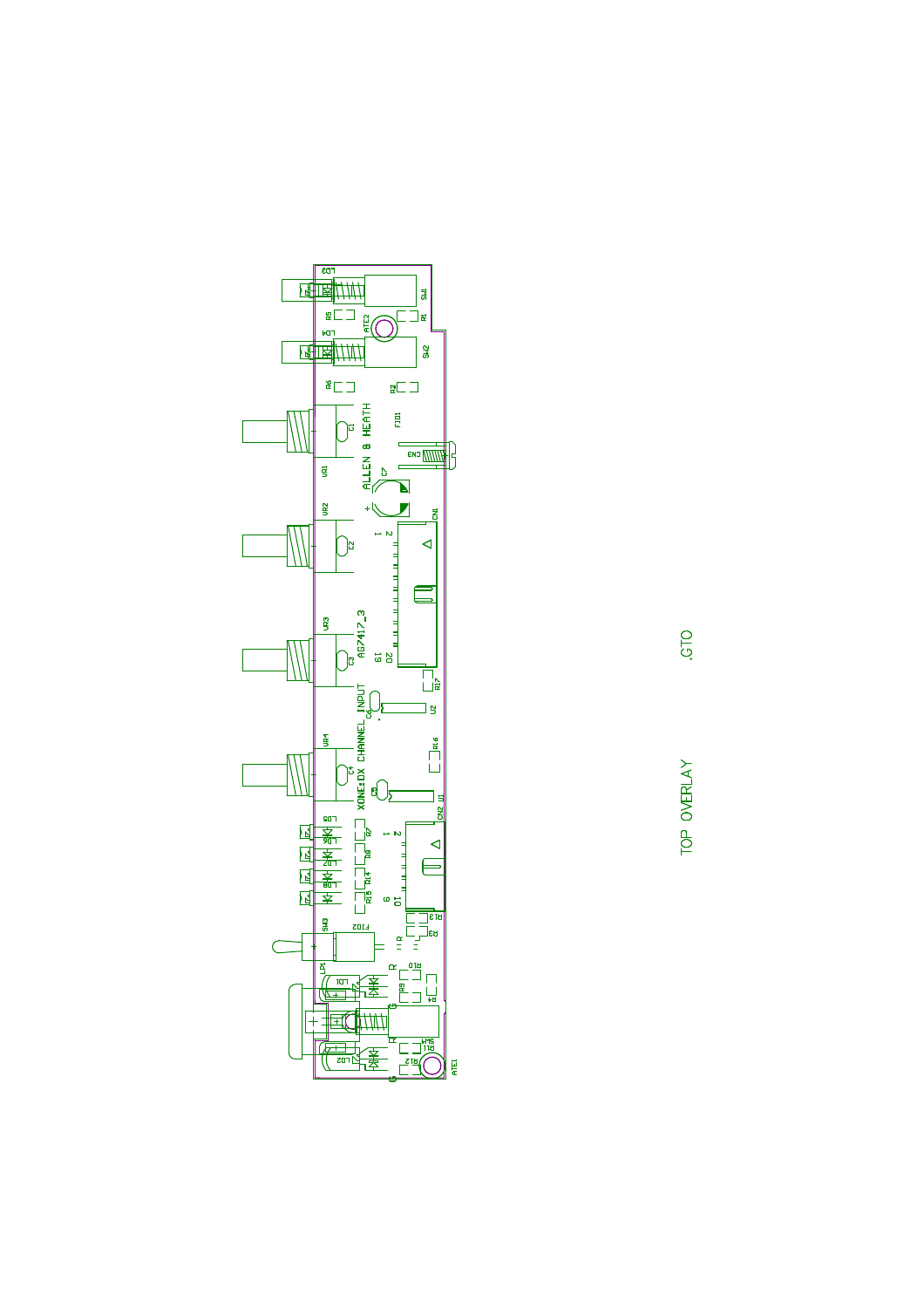

TOP OVERLAY

OLS'